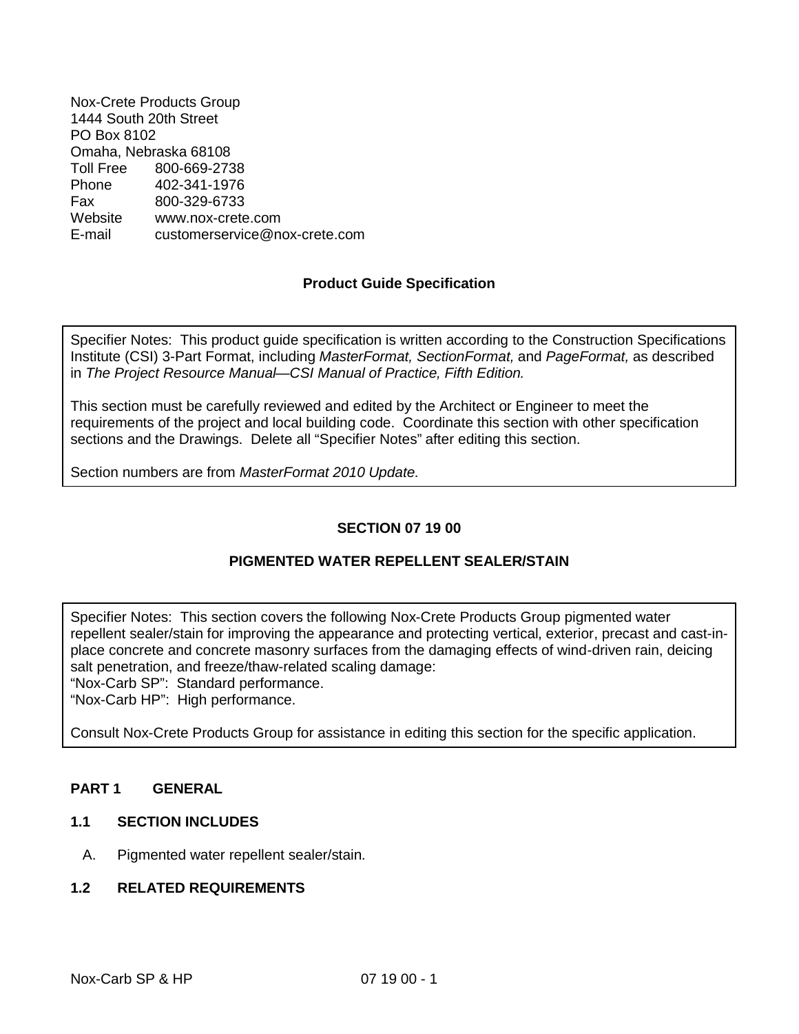Nox-Crete Products Group 1444 South 20th Street PO Box 8102 Omaha, Nebraska 68108 Toll Free 800-669-2738 Phone 402-341-1976 Fax 800-329-6733 Website www.nox-crete.com E-mail customerservice@nox-crete.com

# **Product Guide Specification**

Specifier Notes: This product guide specification is written according to the Construction Specifications Institute (CSI) 3-Part Format, including *MasterFormat, SectionFormat,* and *PageFormat,* as described in *The Project Resource Manual—CSI Manual of Practice, Fifth Edition.*

This section must be carefully reviewed and edited by the Architect or Engineer to meet the requirements of the project and local building code. Coordinate this section with other specification sections and the Drawings. Delete all "Specifier Notes" after editing this section.

Section numbers are from *MasterFormat 2010 Update.*

# **SECTION 07 19 00**

## **PIGMENTED WATER REPELLENT SEALER/STAIN**

Specifier Notes: This section covers the following Nox-Crete Products Group pigmented water repellent sealer/stain for improving the appearance and protecting vertical, exterior, precast and cast-inplace concrete and concrete masonry surfaces from the damaging effects of wind-driven rain, deicing salt penetration, and freeze/thaw-related scaling damage:

"Nox-Carb SP": Standard performance.

"Nox-Carb HP": High performance.

Consult Nox-Crete Products Group for assistance in editing this section for the specific application.

### **PART 1 GENERAL**

## **1.1 SECTION INCLUDES**

A. Pigmented water repellent sealer/stain.

### **1.2 RELATED REQUIREMENTS**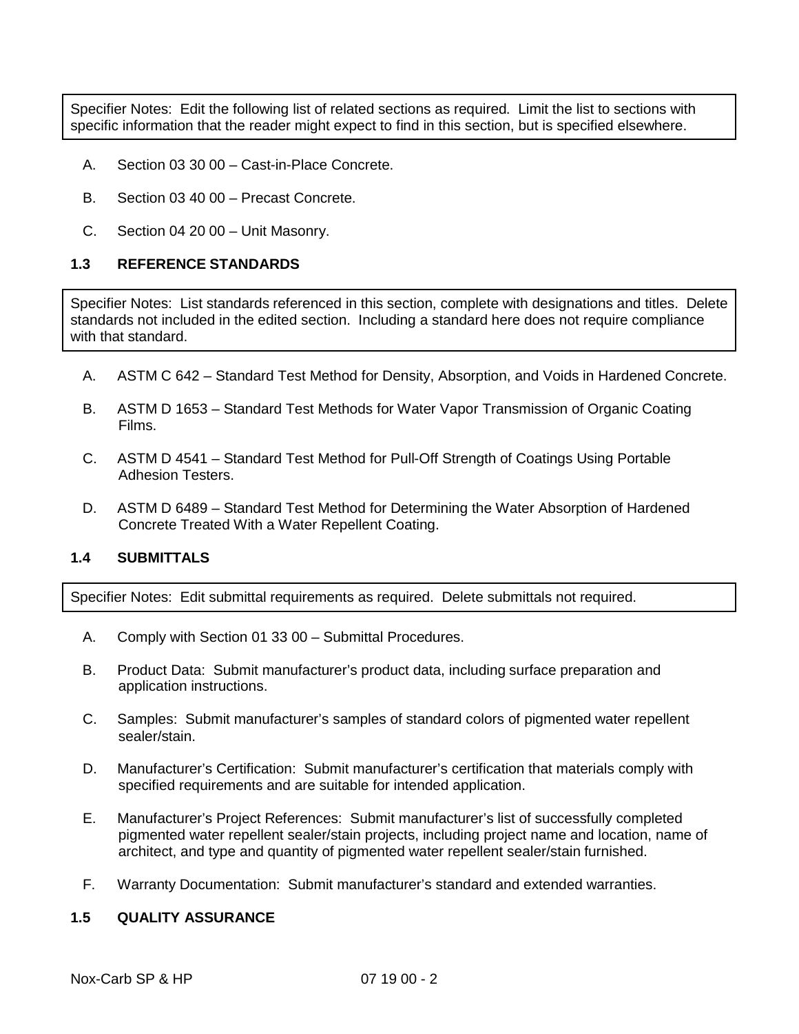Specifier Notes: Edit the following list of related sections as required. Limit the list to sections with specific information that the reader might expect to find in this section, but is specified elsewhere.

- A. Section 03 30 00 Cast-in-Place Concrete.
- B. Section 03 40 00 Precast Concrete.
- C. Section 04 20 00 Unit Masonry.

### **1.3 REFERENCE STANDARDS**

Specifier Notes: List standards referenced in this section, complete with designations and titles. Delete standards not included in the edited section. Including a standard here does not require compliance with that standard.

- A. ASTM C 642 Standard Test Method for Density, Absorption, and Voids in Hardened Concrete.
- B. ASTM D 1653 Standard Test Methods for Water Vapor Transmission of Organic Coating Films.
- C. ASTM D 4541 Standard Test Method for Pull-Off Strength of Coatings Using Portable Adhesion Testers.
- D. ASTM D 6489 Standard Test Method for Determining the Water Absorption of Hardened Concrete Treated With a Water Repellent Coating.

# **1.4 SUBMITTALS**

Specifier Notes: Edit submittal requirements as required. Delete submittals not required.

- A. Comply with Section 01 33 00 Submittal Procedures.
- B. Product Data: Submit manufacturer's product data, including surface preparation and application instructions.
- C. Samples: Submit manufacturer's samples of standard colors of pigmented water repellent sealer/stain.
- D. Manufacturer's Certification: Submit manufacturer's certification that materials comply with specified requirements and are suitable for intended application.
- E. Manufacturer's Project References: Submit manufacturer's list of successfully completed pigmented water repellent sealer/stain projects, including project name and location, name of architect, and type and quantity of pigmented water repellent sealer/stain furnished.
- F. Warranty Documentation: Submit manufacturer's standard and extended warranties.

### **1.5 QUALITY ASSURANCE**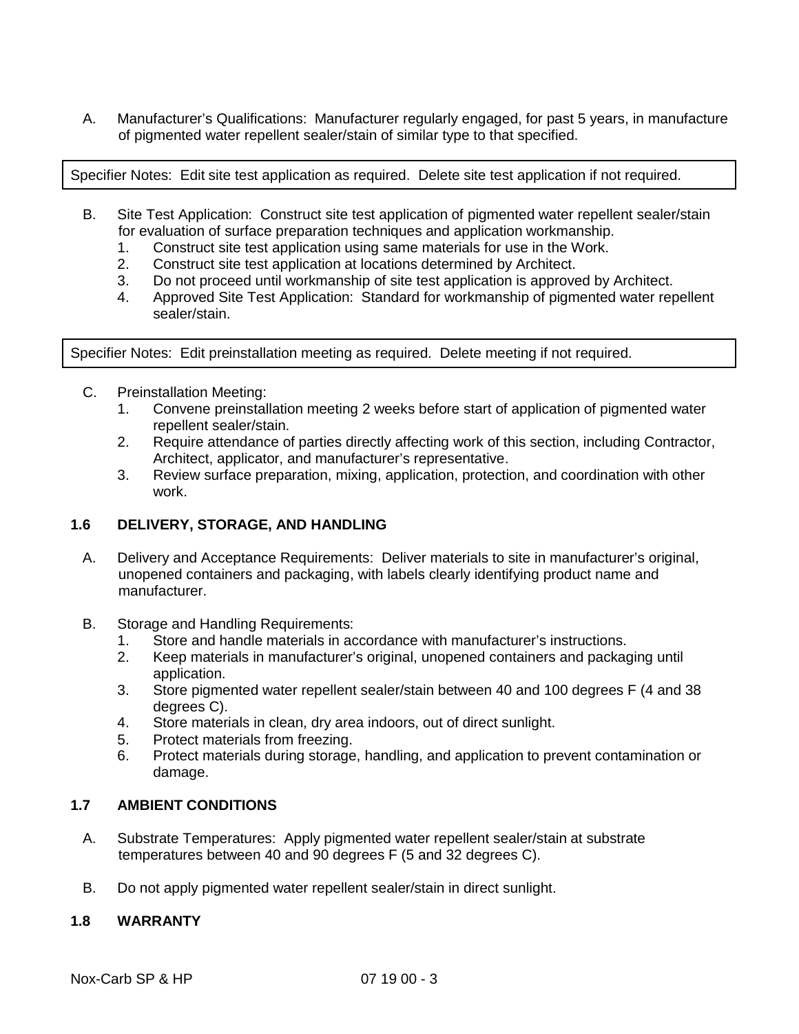A. Manufacturer's Qualifications: Manufacturer regularly engaged, for past 5 years, in manufacture of pigmented water repellent sealer/stain of similar type to that specified.

Specifier Notes: Edit site test application as required. Delete site test application if not required.

- B. Site Test Application: Construct site test application of pigmented water repellent sealer/stain for evaluation of surface preparation techniques and application workmanship.
	- 1. Construct site test application using same materials for use in the Work.
	- 2. Construct site test application at locations determined by Architect.
	- 3. Do not proceed until workmanship of site test application is approved by Architect.
	- 4. Approved Site Test Application: Standard for workmanship of pigmented water repellent sealer/stain.

Specifier Notes: Edit preinstallation meeting as required. Delete meeting if not required.

- C. Preinstallation Meeting:
	- 1. Convene preinstallation meeting 2 weeks before start of application of pigmented water repellent sealer/stain.
	- 2. Require attendance of parties directly affecting work of this section, including Contractor, Architect, applicator, and manufacturer's representative.
	- 3. Review surface preparation, mixing, application, protection, and coordination with other work.

## **1.6 DELIVERY, STORAGE, AND HANDLING**

- A. Delivery and Acceptance Requirements: Deliver materials to site in manufacturer's original, unopened containers and packaging, with labels clearly identifying product name and manufacturer.
- B. Storage and Handling Requirements:
	- 1. Store and handle materials in accordance with manufacturer's instructions.
	- 2. Keep materials in manufacturer's original, unopened containers and packaging until application.
	- 3. Store pigmented water repellent sealer/stain between 40 and 100 degrees F (4 and 38 degrees C).
	- 4. Store materials in clean, dry area indoors, out of direct sunlight.
	- 5. Protect materials from freezing.
	- 6. Protect materials during storage, handling, and application to prevent contamination or damage.

# **1.7 AMBIENT CONDITIONS**

- A. Substrate Temperatures: Apply pigmented water repellent sealer/stain at substrate temperatures between 40 and 90 degrees F (5 and 32 degrees C).
- B. Do not apply pigmented water repellent sealer/stain in direct sunlight.

# **1.8 WARRANTY**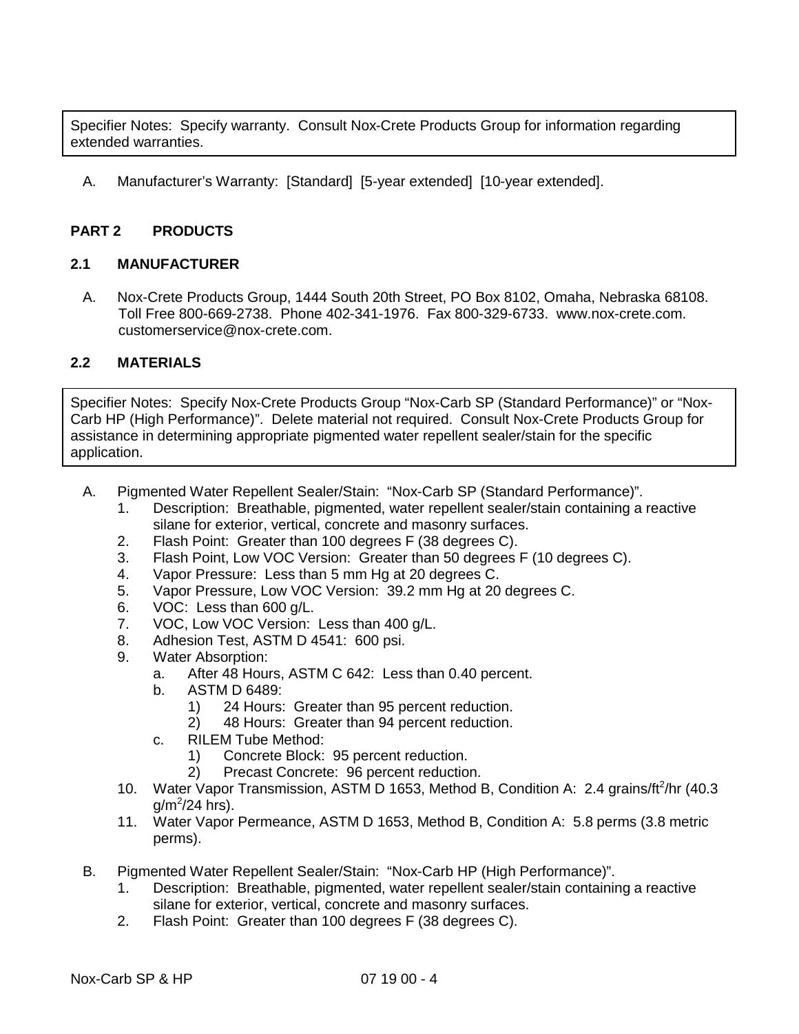Specifier Notes: Specify warranty. Consult Nox-Crete Products Group for information regarding extended warranties.

A. Manufacturer's Warranty: [Standard] [5-year extended] [10-year extended].

# **PART 2 PRODUCTS**

## **2.1 MANUFACTURER**

A. Nox-Crete Products Group, 1444 South 20th Street, PO Box 8102, Omaha, Nebraska 68108. Toll Free 800-669-2738. Phone 402-341-1976. Fax 800-329-6733. www.nox-crete.com. customerservice@nox-crete.com.

## **2.2 MATERIALS**

Specifier Notes: Specify Nox-Crete Products Group "Nox-Carb SP (Standard Performance)" or "Nox-Carb HP (High Performance)". Delete material not required. Consult Nox-Crete Products Group for assistance in determining appropriate pigmented water repellent sealer/stain for the specific application.

- A. Pigmented Water Repellent Sealer/Stain: "Nox-Carb SP (Standard Performance)".
	- 1. Description: Breathable, pigmented, water repellent sealer/stain containing a reactive silane for exterior, vertical, concrete and masonry surfaces.
	- 2. Flash Point: Greater than 100 degrees F (38 degrees C).
	- 3. Flash Point, Low VOC Version: Greater than 50 degrees F (10 degrees C).
	- 4. Vapor Pressure: Less than 5 mm Hg at 20 degrees C.
	- 5. Vapor Pressure, Low VOC Version: 39.2 mm Hg at 20 degrees C.
	- 6. VOC: Less than 600 g/L.
	- 7. VOC, Low VOC Version: Less than 400 g/L.
	- 8. Adhesion Test, ASTM D 4541: 600 psi.
	- 9. Water Absorption:
		- a. After 48 Hours, ASTM C 642: Less than 0.40 percent.
		- b. ASTM D 6489:
			- 1) 24 Hours: Greater than 95 percent reduction.
			- 2) 48 Hours: Greater than 94 percent reduction.
		- c. RILEM Tube Method:
			- 1) Concrete Block: 95 percent reduction.
			- 2) Precast Concrete: 96 percent reduction.
	- 10. Water Vapor Transmission, ASTM D 1653, Method B, Condition A: 2.4 grains/ft<sup>2</sup>/hr (40.3  $g/m^2/24$  hrs).
	- 11. Water Vapor Permeance, ASTM D 1653, Method B, Condition A: 5.8 perms (3.8 metric perms).
- B. Pigmented Water Repellent Sealer/Stain: "Nox-Carb HP (High Performance)".
	- 1. Description: Breathable, pigmented, water repellent sealer/stain containing a reactive silane for exterior, vertical, concrete and masonry surfaces.
	- 2. Flash Point: Greater than 100 degrees F (38 degrees C).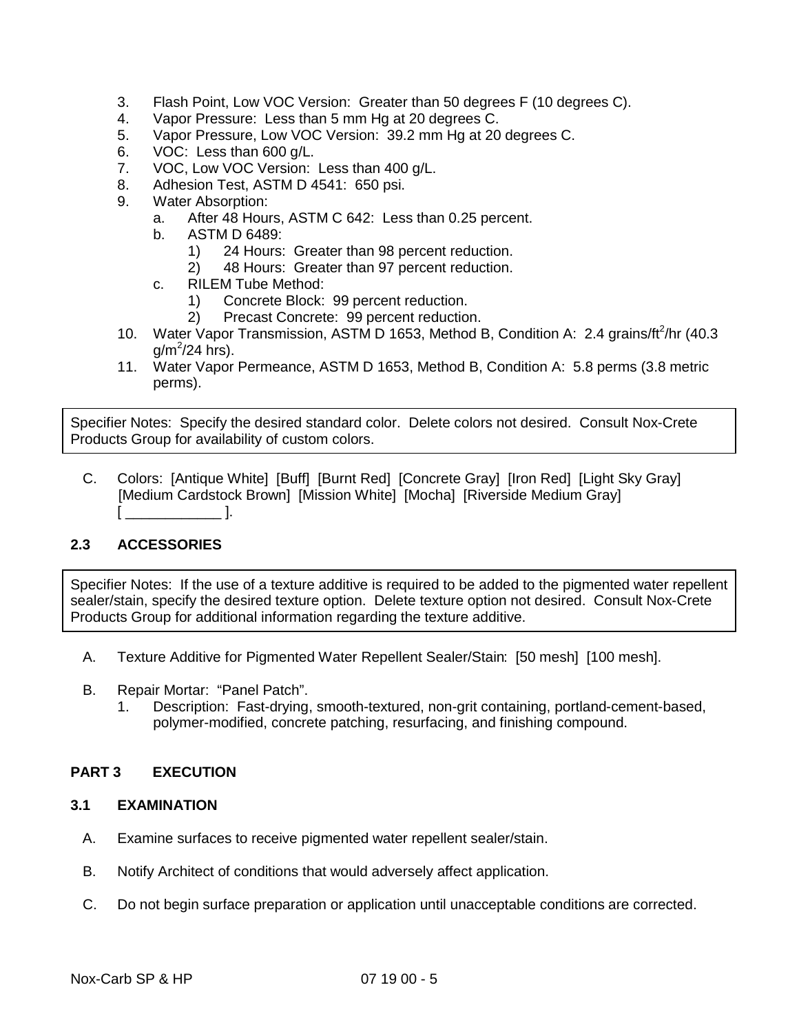- 3. Flash Point, Low VOC Version: Greater than 50 degrees F (10 degrees C).
- 4. Vapor Pressure: Less than 5 mm Hg at 20 degrees C.
- 5. Vapor Pressure, Low VOC Version: 39.2 mm Hg at 20 degrees C.
- 6. VOC: Less than 600 g/L.
- 7. VOC, Low VOC Version: Less than 400 g/L.
- 8. Adhesion Test, ASTM D 4541: 650 psi.
- 9. Water Absorption:
	- a. After 48 Hours, ASTM C 642: Less than 0.25 percent.
	- b. ASTM D 6489:
		- 1) 24 Hours: Greater than 98 percent reduction.
		- 2) 48 Hours: Greater than 97 percent reduction.
	- c. RILEM Tube Method:
		- 1) Concrete Block: 99 percent reduction.
		- 2) Precast Concrete: 99 percent reduction.
- 10. Water Vapor Transmission, ASTM D 1653, Method B, Condition A: 2.4 grains/ft<sup>2</sup>/hr (40.3  $g/m^2/24$  hrs).
- 11. Water Vapor Permeance, ASTM D 1653, Method B, Condition A: 5.8 perms (3.8 metric perms).

Specifier Notes: Specify the desired standard color. Delete colors not desired. Consult Nox-Crete Products Group for availability of custom colors.

C. Colors: [Antique White] [Buff] [Burnt Red] [Concrete Gray] [Iron Red] [Light Sky Gray] [Medium Cardstock Brown] [Mission White] [Mocha] [Riverside Medium Gray]  $\mathcal{L} = \mathcal{L} \cup \{ \mathcal{L} \}$ 

# **2.3 ACCESSORIES**

Specifier Notes: If the use of a texture additive is required to be added to the pigmented water repellent sealer/stain, specify the desired texture option. Delete texture option not desired. Consult Nox-Crete Products Group for additional information regarding the texture additive.

- A. Texture Additive for Pigmented Water Repellent Sealer/Stain: [50 mesh] [100 mesh].
- B. Repair Mortar: "Panel Patch".
	- 1. Description: Fast-drying, smooth-textured, non-grit containing, portland-cement-based, polymer-modified, concrete patching, resurfacing, and finishing compound.

### **PART 3 EXECUTION**

## **3.1 EXAMINATION**

- A. Examine surfaces to receive pigmented water repellent sealer/stain.
- B. Notify Architect of conditions that would adversely affect application.
- C. Do not begin surface preparation or application until unacceptable conditions are corrected.